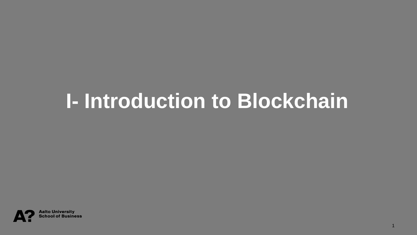## **I- Introduction to Blockchain**

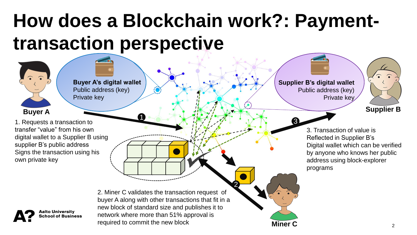## **How does a Blockchain work?: Paymenttransaction perspective**



2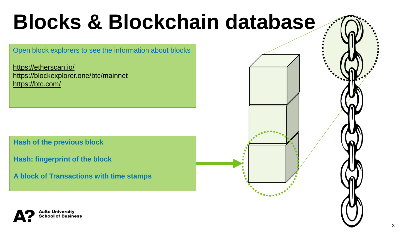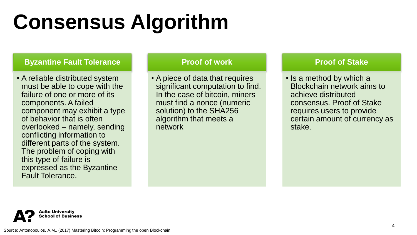# **Consensus Algorithm**

### **Byzantine Fault Tolerance**

• A reliable distributed system must be able to cope with the failure of one or more of its components. A failed component may exhibit a type of behavior that is often overlooked – namely, sending conflicting information to different parts of the system. The problem of coping with this type of failure is expressed as the Byzantine Fault Tolerance.

#### **Proof of work**

• A piece of data that requires significant computation to find. In the case of bitcoin, miners must find a nonce (numeric solution) to the SHA256 algorithm that meets a network

#### **Proof of Stake**

• Is a method by which a Blockchain network aims to achieve distributed consensus. Proof of Stake requires users to provide certain amount of currency as stake.

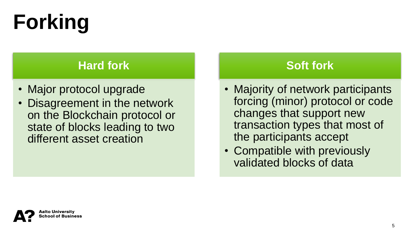# **Forking**

### **Hard fork**

- Major protocol upgrade
- Disagreement in the network on the Blockchain protocol or state of blocks leading to two different asset creation

### **Soft fork**

- Majority of network participants forcing (minor) protocol or code changes that support new transaction types that most of the participants accept
- Compatible with previously validated blocks of data

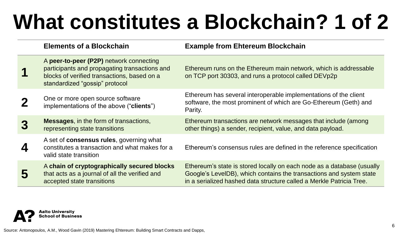# **What constitutes a Blockchain? 1 of 2**

|   | <b>Elements of a Blockchain</b>                                                                                                                                           | <b>Example from Ehtereum Blockchain</b>                                                                                                                                                                               |
|---|---------------------------------------------------------------------------------------------------------------------------------------------------------------------------|-----------------------------------------------------------------------------------------------------------------------------------------------------------------------------------------------------------------------|
|   | A peer-to-peer (P2P) network connecting<br>participants and propagating transactions and<br>blocks of verified transactions, based on a<br>standardized "gossip" protocol | Ethereum runs on the Ethereum main network, which is addressable<br>on TCP port 30303, and runs a protocol called DEVp2p                                                                                              |
|   | One or more open source software<br>implementations of the above ("clients")                                                                                              | Ethereum has several interoperable implementations of the client<br>software, the most prominent of which are Go-Ethereum (Geth) and<br>Parity.                                                                       |
|   | <b>Messages, in the form of transactions,</b><br>representing state transitions                                                                                           | Ethereum transactions are network messages that include (among<br>other things) a sender, recipient, value, and data payload.                                                                                         |
|   | A set of consensus rules, governing what<br>constitutes a transaction and what makes for a<br>valid state transition                                                      | Ethereum's consensus rules are defined in the reference specification                                                                                                                                                 |
| 5 | A chain of cryptographically secured blocks<br>that acts as a journal of all the verified and<br>accepted state transitions                                               | Ethereum's state is stored locally on each node as a database (usually<br>Google's LevelDB), which contains the transactions and system state<br>in a serialized hashed data structure called a Merkle Patricia Tree. |



Source: Antonopoulos, A.M., Wood Gavin (2019) Mastering Ehtereum: Building Smart Contracts and Dapps,